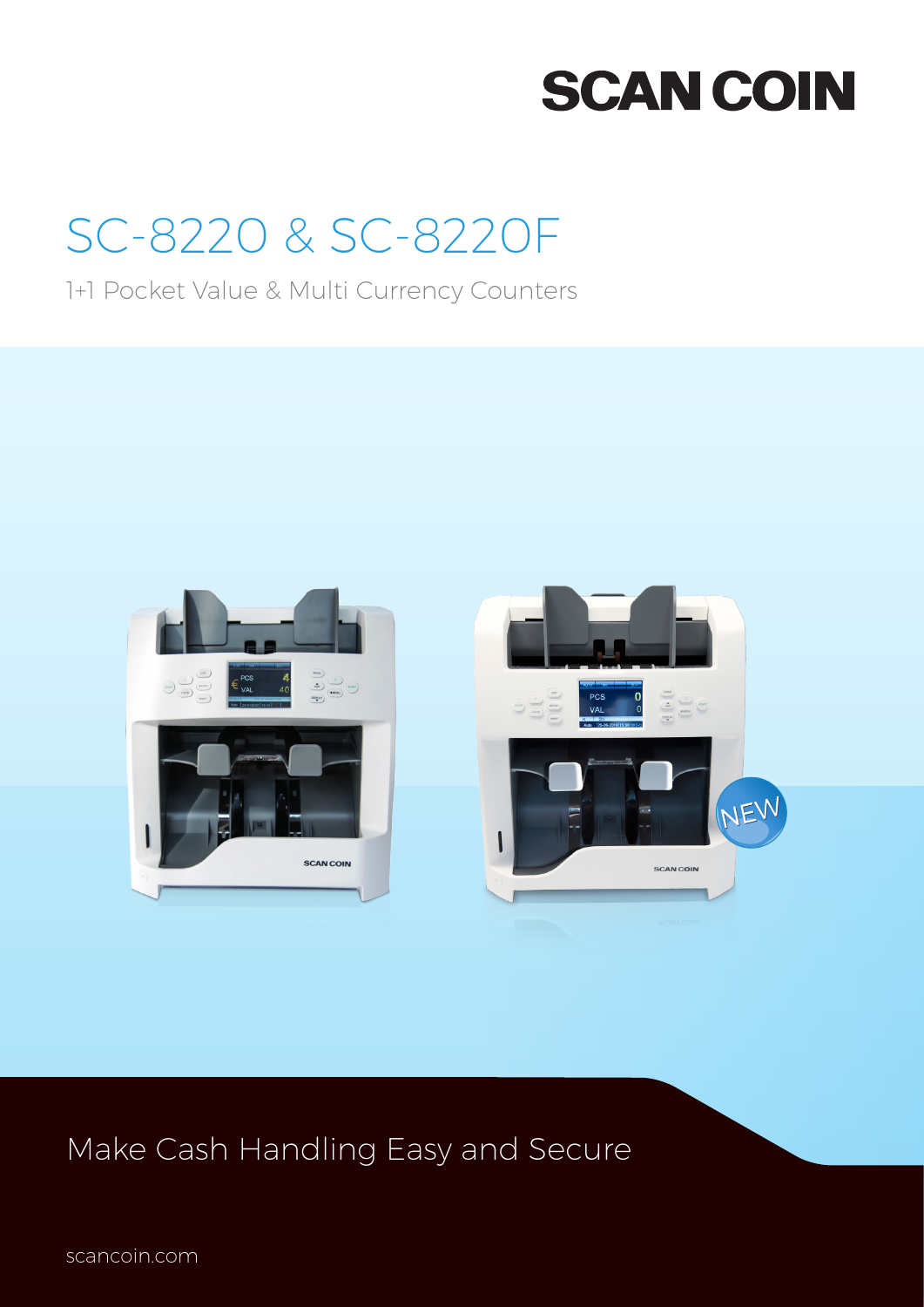# **SCAN COIN**

# SC-8220 & SC-8220F

1+1 Pocket Value & Multi Currency Counters



## Make Cash Handling Easy and Secure

scancoin.com